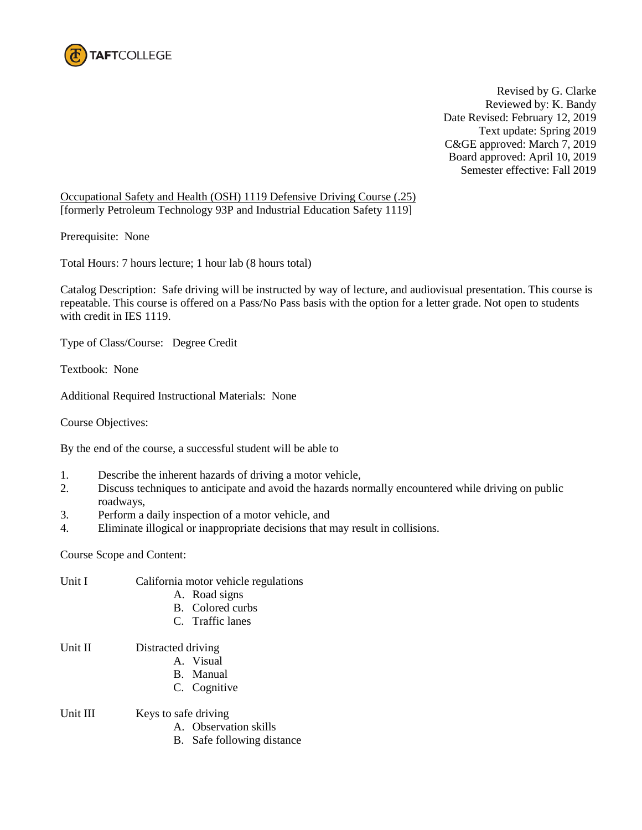

Revised by G. Clarke Reviewed by: K. Bandy Date Revised: February 12, 2019 Text update: Spring 2019 C&GE approved: March 7, 2019 Board approved: April 10, 2019 Semester effective: Fall 2019

Occupational Safety and Health (OSH) 1119 Defensive Driving Course (.25) [formerly Petroleum Technology 93P and Industrial Education Safety 1119]

Prerequisite: None

Total Hours: 7 hours lecture; 1 hour lab (8 hours total)

Catalog Description: Safe driving will be instructed by way of lecture, and audiovisual presentation. This course is repeatable. This course is offered on a Pass/No Pass basis with the option for a letter grade. Not open to students with credit in IES 1119.

Type of Class/Course: Degree Credit

Textbook: None

Additional Required Instructional Materials: None

Course Objectives:

By the end of the course, a successful student will be able to

- 1. Describe the inherent hazards of driving a motor vehicle,
- 2. Discuss techniques to anticipate and avoid the hazards normally encountered while driving on public roadways,
- 3. Perform a daily inspection of a motor vehicle, and
- 4. Eliminate illogical or inappropriate decisions that may result in collisions.

Course Scope and Content:

| Unit I   | California motor vehicle regulations |
|----------|--------------------------------------|
|          | A. Road signs                        |
|          | <b>B.</b> Colored curbs              |
|          | C. Traffic lanes                     |
| Unit II  | Distracted driving                   |
|          | A. Visual                            |
|          | B. Manual                            |
|          | C. Cognitive                         |
| Unit III | Keys to safe driving                 |
|          | A. Observation skills                |
|          | B. Safe following distance           |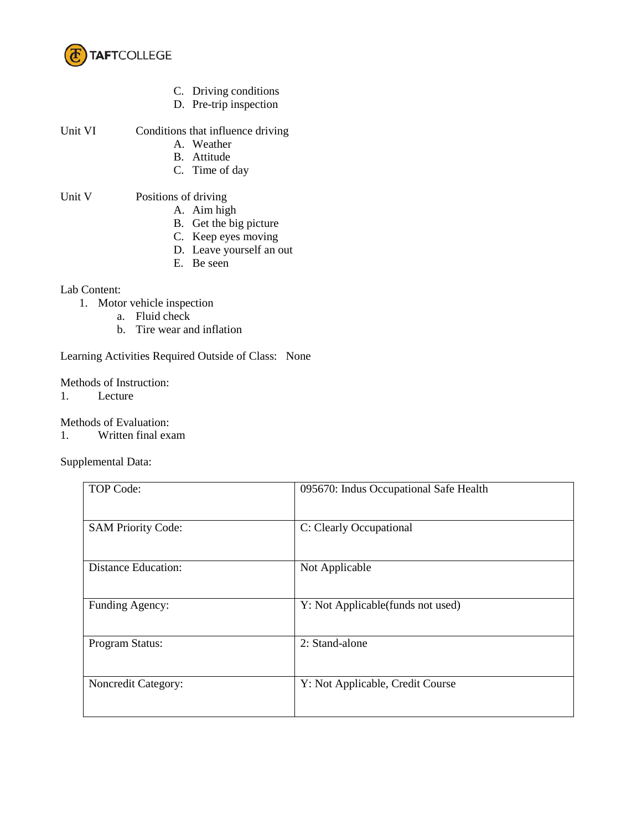

- C. Driving conditions
- D. Pre-trip inspection

| Unit VI | Conditions that influence driving                       |
|---------|---------------------------------------------------------|
|         | $\mathbf{W}$ $\mathbf{V}$ = $\mathbf{V}$ = $\mathbf{V}$ |

- A. Weather B. Attitude
	-
- C. Time of day

## Unit V Positions of driving

- A. Aim high
- B. Get the big picture
- C. Keep eyes moving
- D. Leave yourself an out
- E. Be seen

## Lab Content:

- 1. Motor vehicle inspection
	- a. Fluid check
	- b. Tire wear and inflation

Learning Activities Required Outside of Class: None

Methods of Instruction:

1. Lecture

Methods of Evaluation:

1. Written final exam

Supplemental Data:

| TOP Code:                  | 095670: Indus Occupational Safe Health |
|----------------------------|----------------------------------------|
| <b>SAM Priority Code:</b>  | C: Clearly Occupational                |
| <b>Distance Education:</b> | Not Applicable                         |
| Funding Agency:            | Y: Not Applicable (funds not used)     |
| Program Status:            | 2: Stand-alone                         |
| <b>Noncredit Category:</b> | Y: Not Applicable, Credit Course       |